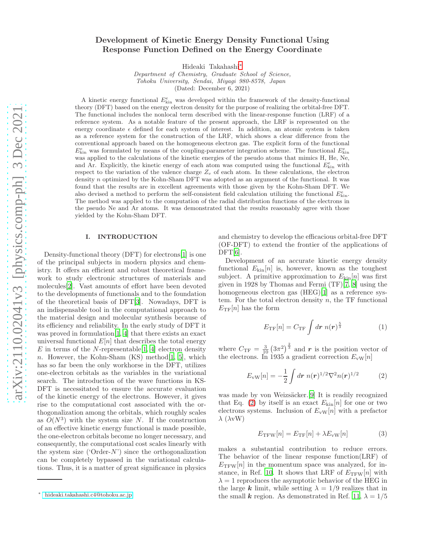# Development of Kinetic Energy Density Functional Using Response Function Defined on the Energy Coordinate

Hideaki Takahashi[∗](#page-0-0)

Department of Chemistry, Graduate School of Science, Tohoku University, Sendai, Miyagi 980-8578, Japan (Dated: December 6, 2021)

A kinetic energy functional  $E_{\text{kin}}^e$  was developed within the framework of the density-functional theory (DFT) based on the energy electron density for the purpose of realizing the orbital-free DFT. The functional includes the nonlocal term described with the linear-response function (LRF) of a reference system. As a notable feature of the present approach, the LRF is represented on the energy coordinate  $\epsilon$  defined for each system of interest. In addition, an atomic system is taken as a reference system for the construction of the LRF, which shows a clear difference from the conventional approach based on the homogeneous electron gas. The explicit form of the functional  $E_{\text{kin}}^e$  was formulated by means of the coupling-parameter integration scheme. The functional  $E_{\text{kin}}^e$ was applied to the calculations of the kinetic energies of the pseudo atoms that mimics H, He, Ne, and Ar. Explicitly, the kinetic energy of each atom was computed using the functional  $E_{kin}^e$  with respect to the variation of the valence charge  $Z_v$  of each atom. In these calculations, the electron density n optimized by the Kohn-Sham DFT was adopted as an argument of the functional. It was found that the results are in excellent agreements with those given by the Kohn-Sham DFT. We also devised a method to perform the self-consistent field calculation utilizing the functional  $E_{\text{kin}}^e$ . The method was applied to the computation of the radial distribution functions of the electrons in the pseudo Ne and Ar atoms. It was demonstrated that the results reasonably agree with those yielded by the Kohn-Sham DFT.

# I. INTRODUCTION

Density-functional theory (DFT) for electrons[\[1\]](#page-14-0) is one of the principal subjects in modern physics and chemistry. It offers an efficient and robust theoretical framework to study electronic structures of materials and molecules[\[2](#page-14-1)]. Vast amounts of effort have been devoted to the developments of functionals and to the foundation of the theoretical basis of DFT[\[3](#page-14-2)]. Nowadays, DFT is an indispensable tool in the computational approach to the material design and molecular synthesis because of its efficiency and reliability. In the early study of DFT it was proved in formulation[\[1,](#page-14-0) [4](#page-14-3)] that there exists an exact universal functional  $E[n]$  that describes the total energy E in terms of the N-representable [\[1,](#page-14-0) [4\]](#page-14-3) electron density n. However, the Kohn-Sham  $(KS)$  method $[1, 5]$  $[1, 5]$  $[1, 5]$  $[1, 5]$ , which has so far been the only workhorse in the DFT, utilizes one-electron orbitals as the variables in the variational search. The introduction of the wave functions in KS-DFT is necessitated to ensure the accurate evaluation of the kinetic energy of the electrons. However, it gives rise to the computational cost associated with the orthogonalization among the orbitals, which roughly scales as  $O(N^3)$  with the system size N. If the construction of an effective kinetic energy functional is made possible, the one-electron orbitals become no longer necessary, and consequently, the computational cost scales linearly with the system size (' $Order-N$ ') since the orthogonalization can be completely bypassed in the variational calculations. Thus, it is a matter of great significance in physics

and chemistry to develop the efficacious orbital-free DFT (OF-DFT) to extend the frontier of the applications of  $DFT[6]$  $DFT[6]$  $DFT[6]$ .

Development of an accurate kinetic energy density functional  $E_{\text{kin}}[n]$  is, however, known as the toughest subject. A primitive approximation to  $E_{\text{kin}}[n]$  was first given in 1928 by Thomas and Fermi (TF)[\[7,](#page-14-6) [8\]](#page-14-7) using the homogeneous electron gas (HEG)[\[1](#page-14-0)] as a reference system. For the total electron density  $n$ , the TF functional  $E_{\text{TF}}[n]$  has the form

<span id="page-0-3"></span>
$$
E_{\rm TF}[n] = C_{\rm TF} \int d\mathbf{r} \; n(\mathbf{r})^{\frac{5}{3}} \tag{1}
$$

where  $C_{\text{TF}} = \frac{3}{10} \left(3\pi^2\right)^{\frac{2}{3}}$  and r is the position vector of the electrons. In 1935 a gradient correction  $E_{\text{vW}}[n]$ 

<span id="page-0-1"></span>
$$
E_{\rm vw}[n] = -\frac{1}{2} \int dr \; n(r)^{1/2} \nabla^2 n(r)^{1/2} \tag{2}
$$

was made by von Weizsäcker.[\[9](#page-14-8)] It is readily recognized that Eq. [\(2\)](#page-0-1) by itself is an exact  $E_{\text{kin}}[n]$  for one or two electrons systems. Inclusion of  $E_{\rm{vw}}[n]$  with a prefactor  $\lambda$  ( $\lambda$ vW)

<span id="page-0-2"></span>
$$
E_{\rm TFW}[n] = E_{\rm TF}[n] + \lambda E_{\rm vw}[n] \tag{3}
$$

makes a substantial contribution to reduce errors. The behavior of the linear response function(LRF) of  $E_{\text{TFW}}[n]$  in the momentum space was analyzed, for in-stance, in Ref. [10.](#page-14-9) It shows that LRF of  $E_{\text{TFW}}[n]$  with  $\lambda = 1$  reproduces the asymptotic behavior of the HEG in the large k limit, while setting  $\lambda = 1/9$  realizes that in the small k region. As demonstrated in Ref. [11](#page-14-10),  $\lambda = 1/5$ 

<span id="page-0-0"></span><sup>∗</sup> [hideaki.takahashi.c4@tohoku.ac.jp](mailto: hideaki.takahashi.c4@tohoku.ac.jp)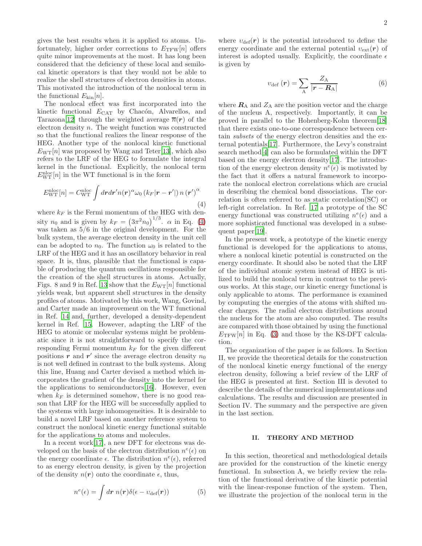gives the best results when it is applied to atoms. Unfortunately, higher order corrections to  $E_{\text{TFW}}[n]$  offers quite minor improvements at the most. It has long been considered that the deficiency of these local and semilocal kinetic operators is that they would not be able to realize the shell structures of electron densities in atoms. This motivated the introduction of the nonlocal term in the functional  $E_{kin}[n]$ .

The nonlocal effect was first incorporated into the kinetic functional  $E_{\text{CAT}}$  by Chacón, Alvarellos, and Tarazona<sup>[\[12\]](#page-14-11)</sup> through the weighted average  $\overline{n}(r)$  of the electron density n. The weight function was constructed so that the functional realizes the linear response of the HEG. Another type of the nonlocal kinetic functional  $E_{\text{WT}}[n]$  was proposed by Wang and Teter[\[13\]](#page-14-12), which also refers to the LRF of the HEG to formulate the integral kernel in the functional. Explicitly, the nonlocal term  $E_{\text{WT}}^{\text{nloc}}[n]$  in the WT functional is in the form

<span id="page-1-0"></span>
$$
E_{\rm WT}^{\rm nloc}[n] = C_{\rm WT}^{\rm nloc} \int dr dr' n(\mathbf{r})^{\alpha} \omega_0 \left( k_F |\mathbf{r} - \mathbf{r}'| \right) n(\mathbf{r}')^{\alpha} \tag{4}
$$

where  $k_F$  is the Fermi momentum of the HEG with density  $n_0$  and is given by  $k_F = (3\pi^2 n_0)^{1/3}$ .  $\alpha$  in Eq. [\(4\)](#page-1-0) was taken as  $5/6$  in the original development. For the bulk system, the average electron density in the unit cell can be adopted to  $n_0$ . The function  $\omega_0$  is related to the LRF of the HEG and it has an oscillatory behavior in real space. It is, thus, plausible that the functional is capable of producing the quantum oscillations responsible for the creation of the shell structures in atoms. Actually, Figs. 8 and 9 in Ref. [13](#page-14-12) show that the  $E_{\text{WT}}[n]$  functional yields weak, but apparent shell structures in the density profiles of atoms. Motivated by this work, Wang, Govind, and Carter made an improvement on the WT functional in Ref. [14](#page-14-13) and, further, developed a density-dependent kernel in Ref. [15.](#page-14-14) However, adapting the LRF of the HEG to atomic or molecular systems might be problematic since it is not straightforward to specify the corresponding Fermi momentum  $k_F$  for the given different positions  $\vec{r}$  and  $\vec{r}'$  since the average electron density  $n_0$ is not well defined in contrast to the bulk systems. Along this line, Huang and Carter devised a method which incorporates the gradient of the density into the kernel for the applications to semiconductors[\[16\]](#page-14-15). However, even when  $k_F$  is determined somehow, there is no good reason that LRF for the HEG will be successfully applied to the systems with large inhomogeneities. It is desirable to build a novel LRF based on another reference system to construct the nonlocal kinetic energy functional suitable for the applications to atoms and molecules.

In a recent work[\[17\]](#page-14-16), a new DFT for electrons was developed on the basis of the electron distribution  $n^e(\epsilon)$  on the energy coordinate  $\epsilon$ . The distribution  $n^e(\epsilon)$ , referred to as energy electron density, is given by the projection of the density  $n(r)$  onto the coordinate  $\epsilon$ , thus,

<span id="page-1-1"></span>
$$
n^{e}(\epsilon) = \int dr \; n(r)\delta(\epsilon - v_{\text{def}}(r)) \tag{5}
$$

where  $v_{\text{def}}(r)$  is the potential introduced to define the energy coordinate and the external potential  $v_{\text{ext}}(r)$  of interest is adopted usually. Explicitly, the coordinate  $\epsilon$ is given by

<span id="page-1-2"></span>
$$
v_{\rm def} \left( \boldsymbol{r} \right) = \sum_{\rm A} \frac{Z_{\rm A}}{\left| \boldsymbol{r} - \boldsymbol{R}_{\rm A} \right|} \tag{6}
$$

where  $\mathbf{R}_{\rm A}$  and  $Z_{\rm A}$  are the position vector and the charge of the nucleus A, respectively. Importantly, it can be proved in parallel to the Hohenberg-Kohn theorem[\[18\]](#page-14-17) that there exists one-to-one correspondence between certain subsets of the energy electron densities and the external potentials[\[17\]](#page-14-16). Furthermore, the Levy's constraint search method[\[4](#page-14-3)] can also be formulated within the DFT based on the energy electron density[\[17\]](#page-14-16). The introduction of the energy electron density  $n^e(\epsilon)$  is motivated by the fact that it offers a natural framework to incorporate the nonlocal electron correlations which are crucial in describing the chemical bond dissociations. The correlation is often referred to as static correlation(SC) or left-right correlation. In Ref. [17](#page-14-16) a prototype of the SC energy functional was constructed utilizing  $n^e(\epsilon)$  and a more sophisticated functional was developed in a subsequent paper[\[19](#page-14-18)].

In the present work, a prototype of the kinetic energy functional is developed for the applications to atoms, where a nonlocal kinetic potential is constructed on the energy coordinate. It should also be noted that the LRF of the individual atomic system instead of HEG is utilized to build the nonlocal term in contrast to the previous works. At this stage, our kinetic energy functional is only applicable to atoms. The performance is examined by computing the energies of the atoms with shifted nuclear charges. The radial electron distributions around the nucleus for the atom are also computed. The results are compared with those obtained by using the functional  $E_{\text{TFW}}[n]$  in Eq. [\(3\)](#page-0-2) and those by the KS-DFT calculation.

The organization of the paper is as follows. In Section II, we provide the theoretical details for the construction of the nonlocal kinetic energy functional of the energy electron density, following a brief review of the LRF of the HEG is presented at first. Section III is devoted to describe the details of the numerical implementations and calculations. The results and discussion are presented in Section IV. The summary and the perspective are given in the last section.

### II. THEORY AND METHOD

In this section, theoretical and methodological details are provided for the construction of the kinetic energy functional. In subsection A, we briefly review the relation of the functional derivative of the kinetic potential with the linear-response function of the system. Then, we illustrate the projection of the nonlocal term in the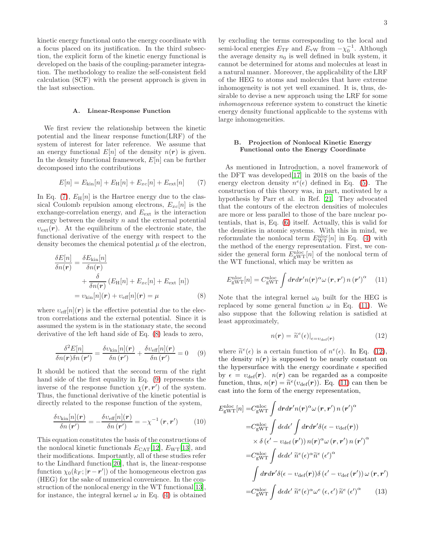kinetic energy functional onto the energy coordinate with a focus placed on its justification. In the third subsection, the explicit form of the kinetic energy functional is developed on the basis of the coupling-parameter integration. The methodology to realize the self-consistent field calculation (SCF) with the present approach is given in the last subsection.

### A. Linear-Response Function

We first review the relationship between the kinetic potential and the linear response function(LRF) of the system of interest for later reference. We assume that an energy functional  $E[n]$  of the density  $n(r)$  is given. In the density functional framework,  $E[n]$  can be further decomposed into the contributions

<span id="page-2-0"></span>
$$
E[n] = E_{\rm kin}[n] + E_{\rm H}[n] + E_{xc}[n] + E_{\rm ext}[n] \tag{7}
$$

In Eq. [\(7\)](#page-2-0),  $E_H[n]$  is the Hartree energy due to the classical Coulomb repulsion among electrons,  $E_{xc}[n]$  is the exchange-correlation energy, and  $E_{\text{ext}}$  is the interaction energy between the density  $n$  and the external potential  $v_{\text{ext}}(r)$ . At the equilibrium of the electronic state, the functional derivative of the energy with respect to the density becomes the chemical potential  $\mu$  of the electron,

$$
\frac{\delta E[n]}{\delta n(\mathbf{r})} = \frac{\delta E_{\text{kin}}[n]}{\delta n(\mathbf{r})} + \frac{\delta}{\delta n(\mathbf{r})} (E_{\text{H}}[n] + E_{xc}[n] + E_{\text{ext}}[n])
$$

$$
= v_{\text{kin}}[n](\mathbf{r}) + v_{\text{eff}}[n](\mathbf{r}) = \mu \tag{8}
$$

where  $v_{\text{eff}}[n](r)$  is the effective potential due to the electron correlations and the external potential. Since it is assumed the system is in the stationary state, the second derivative of the left hand side of Eq. [\(8\)](#page-2-1) leads to zero,

<span id="page-2-2"></span>
$$
\frac{\delta^2 E[n]}{\delta n(\mathbf{r}) \delta n(\mathbf{r}')} = \frac{\delta v_{\text{kin}}[n](\mathbf{r})}{\delta n(\mathbf{r}')} + \frac{\delta v_{\text{eff}}[n](\mathbf{r})}{\delta n(\mathbf{r}')} = 0 \quad (9)
$$

It should be noticed that the second term of the right hand side of the first equality in Eq. [\(9\)](#page-2-2) represents the inverse of the response function  $\chi(\mathbf{r}, \mathbf{r}')$  of the system. Thus, the functional derivative of the kinetic potential is directly related to the response function of the system,

<span id="page-2-6"></span>
$$
\frac{\delta v_{\text{kin}}[n](\boldsymbol{r})}{\delta n(\boldsymbol{r}')} = -\frac{\delta v_{\text{eff}}[n](\boldsymbol{r})}{\delta n(\boldsymbol{r}')} = -\chi^{-1}(\boldsymbol{r}, \boldsymbol{r}') \qquad (10)
$$

This equation constitutes the basis of the constructions of the nonlocal kinetic functionals  $E_{\text{CAT}}[12]$  $E_{\text{CAT}}[12]$ ,  $E_{\text{WT}}[13]$  $E_{\text{WT}}[13]$  $E_{\text{WT}}[13]$ , and their modifications. Importantly, all of these studies refer to the Lindhard function[\[20\]](#page-14-19), that is, the linear-response function  $\chi_0(k_F; |r-r'|)$  of the homogeneous electron gas (HEG) for the sake of numerical convenience. In the construction of the nonlocal energy in the WT functional[\[13\]](#page-14-12), for instance, the integral kernel  $\omega$  in Eq. [\(4\)](#page-1-0) is obtained

by excluding the terms corresponding to the local and semi-local energies  $E_{\text{TF}}$  and  $E_{\text{vW}}$  from  $-\chi_0^{-1}$ . Although the average density  $n_0$  is well defined in bulk system, it cannot be determined for atoms and molecules at least in a natural manner. Moreover, the applicability of the LRF of the HEG to atoms and molecules that have extreme inhomogeneity is not yet well examined. It is, thus, desirable to devise a new approach using the LRF for some inhomogeneous reference system to construct the kinetic energy density functional applicable to the systems with large inhomogeneities.

### B. Projection of Nonlocal Kinetic Energy Functional onto the Energy Coordinate

As mentioned in Introduction, a novel framework of the DFT was developed[\[17\]](#page-14-16) in 2018 on the basis of the energy electron density  $n^e(\epsilon)$  defined in Eq. [\(5\)](#page-1-1). The construction of this theory was, in part, motivated by a hypothesis by Parr et al. in Ref. [21.](#page-14-20) They advocated that the contours of the electron densities of molecules are more or less parallel to those of the bare nuclear potentials, that is, Eq. [\(6\)](#page-1-2) itself. Actually, this is valid for the densities in atomic systems. With this in mind, we reformulate the nonlocal term  $E_{\text{WT}}^{\text{nloc}}[n]$  in Eq. [\(4\)](#page-1-0) with the method of the energy representation. First, we consider the general form  $E_{\text{gWT}}^{\text{nloc}}[n]$  of the nonlocal term of the WT functional, which may be written as

<span id="page-2-3"></span>
$$
E_{\text{gWT}}^{\text{nloc}}[n] = C_{\text{gWT}}^{\text{nloc}} \int dr dr' n(r)^{\alpha} \omega(r, r') n(r')^{\alpha} \quad (11)
$$

<span id="page-2-1"></span>Note that the integral kernel  $\omega_0$  built for the HEG is replaced by some general function  $\omega$  in Eq. [\(11\)](#page-2-3). We also suppose that the following relation is satisfied at least approximately,

<span id="page-2-4"></span>
$$
n(\mathbf{r}) = \tilde{n}^e(\epsilon)|_{\epsilon = v_{\text{def}}(\mathbf{r})}
$$
\n(12)

where  $\tilde{n}^e(\epsilon)$  is a certain function of  $n^e(\epsilon)$ . In Eq. [\(12\)](#page-2-4), the density  $n(r)$  is supposed to be nearly constant on the hypersurface with the energy coordinate  $\epsilon$  specified by  $\epsilon = v_{\text{def}}(\mathbf{r}).$   $n(\mathbf{r})$  can be regarded as a composite function, thus,  $n(r) = \tilde{n}^e(v_{\text{def}}(r))$ . Eq. [\(11\)](#page-2-3) can then be cast into the form of the energy representation,

<span id="page-2-5"></span>
$$
E_{\text{gWT}}^{\text{nloc}}[n] = C_{\text{gWT}}^{\text{nloc}} \int dr dr' n(r)^{\alpha} \omega(r, r') n(r')^{\alpha}
$$
  
\n
$$
= C_{\text{gWT}}^{\text{nloc}} \int d\epsilon d\epsilon' \int dr dr' \delta(\epsilon - v_{\text{def}}(r))
$$
  
\n
$$
\times \delta (\epsilon' - v_{\text{def}}(r')) n(r)^{\alpha} \omega(r, r') n(r')^{\alpha}
$$
  
\n
$$
= C_{\text{gWT}}^{\text{nloc}} \int d\epsilon d\epsilon' \tilde{n}^{\epsilon} (\epsilon)^{\alpha} \tilde{n}^{\epsilon} (\epsilon')^{\alpha}
$$
  
\n
$$
\int dr dr' \delta(\epsilon - v_{\text{def}}(r)) \delta (\epsilon' - v_{\text{def}}(r')) \omega(r, r')
$$
  
\n
$$
= C_{\text{gWT}}^{\text{nloc}} \int d\epsilon d\epsilon' \tilde{n}^{\epsilon} (\epsilon)^{\alpha} \omega^{\epsilon} (\epsilon, \epsilon') \tilde{n}^{\epsilon} (\epsilon')^{\alpha} \qquad (13)
$$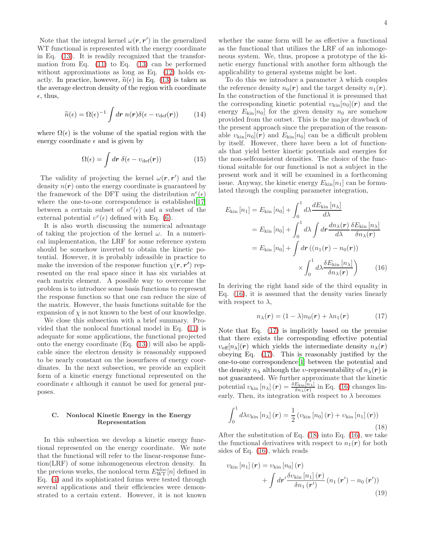Note that the integral kernel  $\omega(\mathbf{r}, \mathbf{r}')$  in the generalized WT functional is represented with the energy coordinate in Eq. [\(13\)](#page-2-5). It is readily recognized that the transformation from Eq.  $(11)$  to Eq.  $(13)$  can be performed without approximations as long as Eq. [\(12\)](#page-2-4) holds exactly. In practice, however,  $\tilde{n}(\epsilon)$  in Eq. [\(13\)](#page-2-5) is taken as the average electron density of the region with coordinate  $\epsilon$ , thus,

$$
\widetilde{n}(\epsilon) = \Omega(\epsilon)^{-1} \int d\mathbf{r} \; n(\mathbf{r}) \delta(\epsilon - v_{\text{def}}(\mathbf{r})) \qquad (14)
$$

where  $\Omega(\epsilon)$  is the volume of the spatial region with the energy coordinate  $\epsilon$  and is given by

$$
\Omega(\epsilon) = \int d\mathbf{r} \; \delta(\epsilon - v_{\text{def}}(\mathbf{r})) \tag{15}
$$

The validity of projecting the kernel  $\omega(\mathbf{r}, \mathbf{r}')$  and the density  $n(r)$  onto the energy coordinate is guaranteed by the framework of the DFT using the distribution  $n^e(\epsilon)$ where the one-to-one correspondence is established [\[17\]](#page-14-16) between a certain subset of  $n^e(\epsilon)$  and a subset of the external potential  $v^e(\epsilon)$  defined with Eq. [\(6\)](#page-1-2).

It is also worth discussing the numerical advantage of taking the projection of the kernel  $\omega$ . In a numerical implementation, the LRF for some reference system should be somehow inverted to obtain the kinetic potential. However, it is probably infeasible in practice to make the inversion of the response function  $\chi(\mathbf{r}, \mathbf{r}')$  represented on the real space since it has six variables at each matrix element. A possible way to overcome the problem is to introduce some basis functions to represent the response function so that one can reduce the size of the matrix. However, the basis functions suitable for the expansion of  $\chi$  is not known to the best of our knowledge.

We close this subsection with a brief summary. Provided that the nonlocal functional model in Eq. [\(11\)](#page-2-3) is adequate for some applications, the functional projected onto the energy coordinate (Eq. [\(13\)](#page-2-5)) will also be applicable since the electron density is reasonably supposed to be nearly constant on the isosurfaces of energy coordinates. In the next subsection, we provide an explicit form of a kinetic energy functional represented on the coordinate  $\epsilon$  although it cannot be used for general purposes.

### C. Nonlocal Kinetic Energy in the Energy Representation

In this subsection we develop a kinetic energy functional represented on the energy coordinate. We note that the functional will refer to the linear-response function(LRF) of some inhomogeneous electron density. In the previous works, the nonlocal term  $E_{\text{WT}}^{\text{nloc}}[n]$  defined in Eq. [\(4\)](#page-1-0) and its sophisticated forms were tested through several applications and their efficiencies were demonstrated to a certain extent. However, it is not known

whether the same form will be as effective a functional as the functional that utilizes the LRF of an inhomogeneous system. We, thus, propose a prototype of the kinetic energy functional with another form although the applicability to general systems might be lost.

To do this we introduce a parameter  $\lambda$  which couples the reference density  $n_0(\mathbf{r})$  and the target density  $n_1(\mathbf{r})$ . In the construction of the functional it is presumed that the corresponding kinetic potential  $v_{\text{kin}}[n_0](r)$  and the energy  $E_{\text{kin}}[n_0]$  for the given density  $n_0$  are somehow provided from the outset. This is the major drawback of the present approach since the preparation of the reasonable  $v_{\rm kin}[n_0](r)$  and  $E_{\rm kin}[n_0]$  can be a difficult problem by itself. However, there have been a lot of functionals that yield better kinetic potentials and energies for the non-selfconsistent densities. The choice of the functional suitable for our functional is not a subject in the present work and it will be examined in a forthcoming issue. Anyway, the kinetic energy  $E_{kin}[n_1]$  can be formulated through the coupling parameter integration,

$$
E_{\rm kin}[n_1] = E_{\rm kin}[n_0] + \int_0^1 d\lambda \frac{dE_{\rm kin}[n_\lambda]}{d\lambda}
$$
  
=  $E_{\rm kin}[n_0] + \int_0^1 d\lambda \int dr \frac{dn_\lambda(\mathbf{r})}{d\lambda} \frac{\delta E_{\rm kin}[n_\lambda]}{\delta n_\lambda(\mathbf{r})}$   
=  $E_{\rm kin}[n_0] + \int dr ((n_1(\mathbf{r}) - n_0(\mathbf{r}))$   
 $\times \int_0^1 d\lambda \frac{\delta E_{\rm kin}[n_\lambda]}{\delta n_\lambda(\mathbf{r})}$  (16)

In deriving the right hand side of the third equality in Eq. [\(16\)](#page-3-0), it is assumed that the density varies linearly with respect to  $\lambda$ ,

<span id="page-3-1"></span><span id="page-3-0"></span>
$$
n_{\lambda}(\mathbf{r}) = (1 - \lambda)n_0(\mathbf{r}) + \lambda n_1(\mathbf{r}) \tag{17}
$$

Note that Eq. [\(17\)](#page-3-1) is implicitly based on the premise that there exists the corresponding effective potential  $v_{\text{eff}}[n_{\lambda}](r)$  which yields the intermediate density  $n_{\lambda}(r)$ obeying Eq. [\(17\)](#page-3-1). This is reasonably justified by the one-to-one correspondence[\[1\]](#page-14-0) between the potential and the density  $n_{\lambda}$  although the *v*-representability of  $n_{\lambda}(r)$  is not guaranteed. We further approximate that the kinetic potential  $v_{\rm kin} [n_{\lambda}] (r) = \frac{\delta E_{\rm kin}[n_{\lambda}]}{\delta n_{\lambda}(r)}$  in Eq. [\(16\)](#page-3-0) changes linearly. Then, its integration with respect to  $\lambda$  becomes

<span id="page-3-2"></span>
$$
\int_0^1 d\lambda v_{\rm kin} \left[ n_{\lambda} \right] (\boldsymbol{r}) = \frac{1}{2} \left( v_{\rm kin} \left[ n_0 \right] (\boldsymbol{r}) + v_{\rm kin} \left[ n_1 \right] (\boldsymbol{r}) \right) \tag{18}
$$

After the substitution of Eq.  $(18)$  into Eq.  $(16)$ , we take the functional derivatives with respect to  $n_1(r)$  for both sides of Eq. [\(16\)](#page-3-0), which reads

<span id="page-3-3"></span>
$$
v_{\text{kin}}\left[n_{1}\right](\boldsymbol{r}) = v_{\text{kin}}\left[n_{0}\right](\boldsymbol{r}) + \int d\boldsymbol{r}' \frac{\delta v_{\text{kin}}\left[n_{1}\right](\boldsymbol{r})}{\delta n_{1}\left(\boldsymbol{r}'\right)}\left(n_{1}\left(\boldsymbol{r}'\right) - n_{0}\left(\boldsymbol{r}'\right)\right) \tag{19}
$$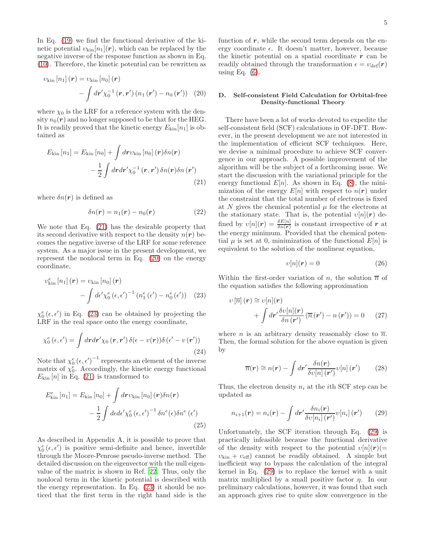In Eq. [\(19\)](#page-3-3) we find the functional derivative of the kinetic potential  $v_{\text{kin}}[n_1](r)$ , which can be replaced by the negative inverse of the response function as shown in Eq. [\(10\)](#page-2-6). Therefore, the kinetic potential can be rewritten as

$$
v_{\rm kin} [n_1] (\bm{r}) = v_{\rm kin} [n_0] (\bm{r}) - \int d\bm{r}' \chi_0^{-1} (\bm{r}, \bm{r}') (n_1 (\bm{r}') - n_0 (\bm{r}')) \quad (20)
$$

where  $\chi_0$  is the LRF for a reference system with the density  $n_0(r)$  and no longer supposed to be that for the HEG. It is readily proved that the kinetic energy  $E_{kin}[n_1]$  is obtained as

$$
E_{\rm kin}[n_1] = E_{\rm kin}[n_0] + \int dr v_{\rm kin}[n_0] (r) \delta n(r)
$$

$$
- \frac{1}{2} \int dr dr' \chi_0^{-1} (r, r') \delta n(r) \delta n(r')
$$
(21)

where  $\delta n(\mathbf{r})$  is defined as

$$
\delta n(\mathbf{r}) = n_1(\mathbf{r}) - n_0(\mathbf{r}) \tag{22}
$$

We note that Eq. [\(21\)](#page-4-0) has the desirable property that its second derivative with respect to the density  $n(r)$  becomes the negative inverse of the LRF for some reference system. As a major issue in the present development, we represent the nonlocal term in Eq. [\(20\)](#page-4-1) on the energy coordinate,

$$
v_{\text{kin}}^{e}[n_{1}](\mathbf{r}) = v_{\text{kin}}[n_{0}](\mathbf{r}) - \int d\epsilon' \chi_{0}^{e} (\epsilon, \epsilon')^{-1} (n_{1}^{e}(\epsilon') - n_{0}^{e}(\epsilon')) \quad (23)
$$

 $\chi_0^e$  ( $\epsilon$ ,  $\epsilon'$ ) in Eq. [\(23\)](#page-4-2) can be obtained by projecting the LRF in the real space onto the energy coordinate,

<span id="page-4-5"></span>
$$
\chi_0^e(\epsilon, \epsilon') = \int dr dr' \chi_0(r, r') \, \delta(\epsilon - v(r)) \delta(\epsilon' - v(r')) \tag{24}
$$

Note that  $\chi_0^e (\epsilon, \epsilon')^{-1}$  represents an element of the inverse matrix of  $\chi_{0}^{e}$ . Accordingly, the kinetic energy functional  $E_{\text{kin}}[n]$  in Eq. [\(21\)](#page-4-0) is transformed to

$$
E_{\text{kin}}^{e}[n_{1}] = E_{\text{kin}}[n_{0}] + \int d\mathbf{r} v_{\text{kin}}[n_{0}] (\mathbf{r}) \delta n(\mathbf{r}) - \frac{1}{2} \int d\epsilon d\epsilon' \chi_{0}^{e} (\epsilon, \epsilon')^{-1} \delta n^{e} (\epsilon) \delta n^{e} (\epsilon')
$$
\n(25)

As described in Appendix A, it is possible to prove that  $\chi_0^e(\epsilon, \epsilon')$  is positive semi-definite and hence, invertible through the Moore-Penrose pseudo-inverse method. The detailed discussion on the eigenvector with the null eigenvalue of the matrix is shown in Ref. [22.](#page-14-21) Thus, only the nonlocal term in the kinetic potential is described with the energy representation. In Eq. [\(23\)](#page-4-2) it should be noticed that the first term in the right hand side is the

function of  $r$ , while the second term depends on the energy coordinate  $\epsilon$ . It doesn't matter, however, because the kinetic potential on a spatial coordinate  $r$  can be readily obtained through the transformation  $\epsilon = v_{\text{def}}(\mathbf{r})$ using Eq.  $(6)$ .

# <span id="page-4-1"></span>D. Self-consistent Field Calculation for Orbital-free Density-functional Theory

<span id="page-4-0"></span>There have been a lot of works devoted to expedite the self-consistent field (SCF) calculations in OF-DFT. However, in the present development we are not interested in the implementation of efficient SCF techniques. Here, we devise a minimal procedure to achieve SCF convergence in our approach. A possible improvement of the algorithm will be the subject of a forthcoming issue. We start the discussion with the variational principle for the energy functional  $E[n]$ . As shown in Eq. [\(8\)](#page-2-1), the minimization of the energy  $E[n]$  with respect to  $n(r)$  under the constraint that the total number of electrons is fixed at N gives the chemical potential  $\mu$  for the electrons at the stationary state. That is, the potential  $v[n](r)$  defined by  $v[n](r) = \frac{\delta E[n]}{\delta n(r)}$  is constant irrespective of r at the energy minimum. Provided that the chemical potential  $\mu$  is set at 0, minimization of the functional  $E[n]$  is equivalent to the solution of the nonlinear equation,

$$
v[n](r) = 0 \tag{26}
$$

<span id="page-4-2"></span>Within the first-order variation of n, the solution  $\overline{n}$  of the equation satisfies the following approximation

$$
v\left[\overline{n}\right](\mathbf{r}) \cong v[n](\mathbf{r})
$$

$$
+ \int d\mathbf{r}' \frac{\delta v[n](\mathbf{r})}{\delta n(\mathbf{r}')} \left(\overline{n}(\mathbf{r}') - n(\mathbf{r}')\right) = 0 \qquad (27)
$$

where *n* is an arbitrary density reasonably close to  $\overline{n}$ . Then, the formal solution for the above equation is given by

$$
\overline{n}(\mathbf{r}) \cong n(\mathbf{r}) - \int d\mathbf{r}' \frac{\delta n(\mathbf{r})}{\delta v[n](\mathbf{r}')} v[n](\mathbf{r}') \qquad (28)
$$

Thus, the electron density  $n_i$  at the *i*th SCF step can be updated as

<span id="page-4-3"></span>
$$
n_{i+1}(\mathbf{r}) = n_i(\mathbf{r}) - \int d\mathbf{r}' \frac{\delta n_i(\mathbf{r})}{\delta v[n_i](\mathbf{r}')} v[n_i](\mathbf{r}') \qquad (29)
$$

<span id="page-4-4"></span>Unfortunately, the SCF iteration through Eq. [\(29\)](#page-4-3) is practically infeasible because the functional derivative of the density with respect to the potential  $v[n](r)$ (=  $v_{\text{kin}} + v_{\text{eff}}$  cannot be readily obtained. A simple but inefficient way to bypass the calculation of the integral kernel in Eq. [\(29\)](#page-4-3) is to replace the kernel with a unit matrix multiplied by a small positive factor  $\eta$ . In our preliminary calculations, however, it was found that such an approach gives rise to quite slow convergence in the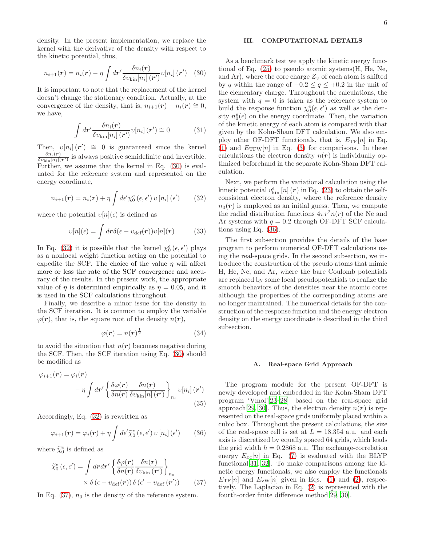density. In the present implementation, we replace the kernel with the derivative of the density with respect to the kinetic potential, thus,

<span id="page-5-0"></span>
$$
n_{i+1}(\mathbf{r}) = n_i(\mathbf{r}) - \eta \int d\mathbf{r}' \frac{\delta n_i(\mathbf{r})}{\delta v_{\text{kin}}[n_i](\mathbf{r}')} v[n_i](\mathbf{r}') \quad (30)
$$

It is important to note that the replacement of the kernel doesn't change the stationary condition. Actually, at the convergence of the density, that is,  $n_{i+1}(\mathbf{r}) - n_i(\mathbf{r}) \approx 0$ , we have,

$$
\int d\mathbf{r}' \frac{\delta n_i(\mathbf{r})}{\delta v_{\text{kin}}[n_i](\mathbf{r}')} v[n_i](\mathbf{r}') \cong 0 \tag{31}
$$

Then,  $v[n_i](r') \cong 0$  is guaranteed since the kernel  $\delta n_i(\boldsymbol{r})$  $\frac{\partial n_i(\bm{r})}{\partial v_{\text{kin}}[n_i](\bm{r}')}$  is always positive semidefinite and invertible. Further, we assume that the kernel in Eq. [\(30\)](#page-5-0) is evaluated for the reference system and represented on the energy coordinate,

<span id="page-5-1"></span>
$$
n_{i+1}(\mathbf{r}) = n_i(\mathbf{r}) + \eta \int d\epsilon' \chi_0^e(\epsilon, \epsilon') \, v \left[ n_i \right] (\epsilon')
$$
 (32)

where the potential  $v[n](\epsilon)$  is defined as

$$
v[n](\epsilon) = \int d\mathbf{r} \delta(\epsilon - v_{\text{def}}(\mathbf{r})) v[n](\mathbf{r}) \tag{33}
$$

In Eq. [\(32\)](#page-5-1) it is possible that the kernel  $\chi_0^e(\epsilon, \epsilon')$  plays as a nonlocal weight function acting on the potential to expedite the SCF. The choice of the value  $\eta$  will affect more or less the rate of the SCF convergence and accuracy of the results. In the present work, the appropriate value of  $\eta$  is determined empirically as  $\eta = 0.05$ , and it is used in the SCF calculations throughout.

Finally, we describe a minor issue for the density in the SCF iteration. It is common to employ the variable  $\varphi(\mathbf{r})$ , that is, the square root of the density  $n(\mathbf{r})$ ,

$$
\varphi(\mathbf{r}) = n(\mathbf{r})^{\frac{1}{2}} \tag{34}
$$

to avoid the situation that  $n(r)$  becomes negative during the SCF. Then, the SCF iteration using Eq. [\(30\)](#page-5-0) should be modified as

$$
\varphi_{i+1}(\mathbf{r}) = \varphi_i(\mathbf{r})
$$

$$
- \eta \int d\mathbf{r}' \left\{ \frac{\delta \varphi(\mathbf{r})}{\delta n(\mathbf{r})} \frac{\delta n(\mathbf{r})}{\delta v_{\text{kin}}[n](\mathbf{r}')} \right\}_{n_i} v[n_i](\mathbf{r}')
$$
(35)

Accordingly, Eq. [\(32\)](#page-5-1) is rewritten as

<span id="page-5-3"></span>
$$
\varphi_{i+1}(\boldsymbol{r}) = \varphi_i(\boldsymbol{r}) + \eta \int d\epsilon' \widetilde{\chi}_0^e \left( \epsilon, \epsilon' \right) \upsilon \left[ n_i \right] (\epsilon')
$$
 (36)

where  $\widetilde{\chi}_0^e$  is defined as

$$
\widetilde{\chi}_{0}^{e}(\epsilon,\epsilon') = \int dr dr' \left\{ \frac{\delta \varphi(\mathbf{r})}{\delta n(\mathbf{r})} \frac{\delta n(\mathbf{r})}{\delta v_{\text{kin}}(\mathbf{r}')} \right\}_{n_{0}} \times \delta \left( \epsilon - v_{\text{def}}(\mathbf{r}) \right) \delta \left( \epsilon' - v_{\text{def}}(\mathbf{r}') \right) \tag{37}
$$

In Eq.  $(37)$ ,  $n_0$  is the density of the reference system.

### III. COMPUTATIONAL DETAILS

As a benchmark test we apply the kinetic energy functional of Eq. [\(25\)](#page-4-4) to pseudo atomic systems(H, He, Ne, and Ar), where the core charge  $Z_v$  of each atom is shifted by q within the range of  $-0.2 \le q \le +0.2$  in the unit of the elementary charge. Throughout the calculations, the system with  $q = 0$  is taken as the reference system to build the response function  $\chi_0^e(\epsilon, \epsilon')$  as well as the density  $n_0^e(\epsilon)$  on the energy coordinate. Then, the variation of the kinetic energy of each atom is compared with that given by the Kohn-Sham DFT calculation. We also employ other OF-DFT functionals, that is,  $E_{\text{TF}}[n]$  in Eq. [\(1\)](#page-0-3) and  $E_{\text{TFW}}[n]$  in Eq. [\(3\)](#page-0-2) for comparisons. In these calculations the electron density  $n(r)$  is individually optimized beforehand in the separate Kohn-Sham DFT calculation.

Next, we perform the variational calculation using the kinetic potential  $v_{\text{kin}}^e[n](r)$  in Eq. [\(23\)](#page-4-2) to obtain the selfconsistent electron density, where the reference density  $n_0(r)$  is employed as an initial guess. Then, we compute the radial distribution functions  $4\pi r^2 n(r)$  of the Ne and Ar systems with  $q = 0.2$  through OF-DFT SCF calculations using Eq. [\(36\)](#page-5-3).

The first subsection provides the details of the base program to perform numerical OF-DFT calculations using the real-space grids. In the second subsection, we introduce the construction of the pseudo atoms that mimic H, He, Ne, and Ar, where the bare Coulomb potentials are replaced by some local pseudopotentials to realize the smooth behaviors of the densities near the atomic cores although the properties of the corresponding atoms are no longer maintained. The numerical details for the construction of the response function and the energy electron density on the energy coordinate is described in the third subsection.

#### A. Real-space Grid Approach

<span id="page-5-2"></span>The program module for the present OF-DFT is newly developed and embedded in the Kohn-Sham DFT program 'Vmol'[\[23](#page-14-22)[–28\]](#page-14-23) based on the real-space grid approach[\[29,](#page-14-24) [30](#page-14-25)]. Thus, the electron density  $n(r)$  is represented on the real-space grids uniformly placed within a cubic box. Throughout the present calculations, the size of the real-space cell is set at  $L = 18.354$  a.u. and each axis is discretized by equally spaced 64 grids, which leads the grid width  $h = 0.2868$  a.u. The exchange-correlation energy  $E_{xc}[n]$  in Eq. [\(7\)](#page-2-0) is evaluated with the BLYP functional[\[31](#page-14-26), [32\]](#page-14-27). To make comparisons among the kinetic energy functionals, we also employ the functionals  $E_{\text{TF}}[n]$  and  $E_{\text{vw}}[n]$  given in Eqs. [\(1\)](#page-0-3) and [\(2\)](#page-0-1), respectively. The Laplacian in Eq. [\(2\)](#page-0-1) is represented with the fourth-order finite difference method[\[29,](#page-14-24) [30](#page-14-25)].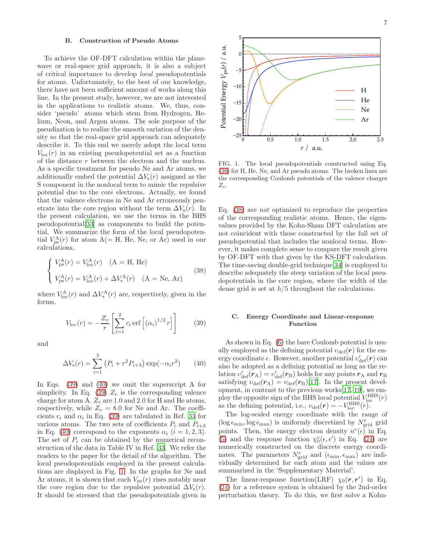### B. Construction of Pseudo Atoms

To achieve the OF-DFT calculation within the planewave or real-space grid approach, it is also a subject of critical importance to develop local pseudopotentials for atoms. Unfortunately, to the best of our knowledge, there have not been sufficient amount of works along this line. In the present study, however, we are not interested in the applications to realistic atoms. We, thus, consider 'pseudo' atoms which stem from Hydrogen, Helium, Neon, and Argon atoms. The sole purpose of the pseudization is to realize the smooth variation of the density so that the real-space grid approach can adequately describe it. To this end we merely adopt the local term  $V_{\text{loc}}(r)$  in an existing pseudopotential set as a function of the distance r between the electron and the nucleus. As a specific treatment for pseudo Ne and Ar atoms, we additionally embed the potential  $\Delta V_s(r)$  assigned as the S component in the nonlocal term to mimic the repulsive potential due to the core electrons. Actually, we found that the valence electrons in Ne and Ar erroneously penetrate into the core region without the term  $\Delta V_{\rm s}(r)$ . In the present calculation, we use the terms in the BHS pseudopotential[\[33\]](#page-14-28) as components to build the potential. We summarize the form of the local pseudopotential  $V_{\text{ps}}^{\text{A}}(r)$  for atom A(= H, He, Ne, or Ar) used in our calculations,

<span id="page-6-3"></span>
$$
\begin{cases}\nV_{\rm ps}^{\rm A}(r) = V_{\rm loc}^{\rm A}(r) & \text{(A = H, He)} \\
V_{\rm ps}^{\rm A}(r) = V_{\rm loc}^{\rm A}(r) + \Delta V_{\rm s}^{\rm A}(r) & \text{(A = Ne, Ar)}\n\end{cases}
$$
\n(38)

where  $V_{\text{loc}}^{\text{A}}(r)$  and  $\Delta V_s^{\text{A}}(r)$  are, respectively, given in the forms,

<span id="page-6-0"></span>
$$
V_{\text{loc}}(r) = -\frac{Z_v}{r} \left[ \sum_{i=1}^2 c_i \operatorname{erf} \left[ \left( \alpha_i \right)^{1/2} r \right] \right] \tag{39}
$$

and

<span id="page-6-1"></span>
$$
\Delta V_{\rm s}(r) = \sum_{i=1}^{3} (P_i + r^2 P_{i+3}) \exp(-\alpha_i r^2)
$$
 (40)

In Eqs. [\(39\)](#page-6-0) and [\(40\)](#page-6-1) we omit the superscript A for simplicity. In Eq. [\(39\)](#page-6-0)  $Z_v$  is the corresponding valence charge for atom A.  $Z_v$  are  $1.0$  and  $2.0$  for H and He atoms, respectively, while  $Z_v = 8.0$  for Ne and Ar. The coefficients  $c_i$  and  $\alpha_i$  in Eq. [\(39\)](#page-6-0) are tabulated in Ref. [33](#page-14-28) for various atoms. The two sets of coefficients  $P_i$  and  $P_{i+3}$ in Eq. [\(40\)](#page-6-1) correspond to the exponents  $\alpha_i$  (i = 1, 2, 3). The set of  $P_i$  can be obtained by the numerical reconstruction of the data in Table IV in Ref. [33](#page-14-28). We refer the readers to the paper for the detail of the algorithm. The local pseudopotentials employed in the present calculations are displayed in Fig. [1.](#page-6-2) In the graphs for Ne and Ar atoms, it is shown that each  $V_{\text{ps}}(r)$  rises notably near the core region due to the repulsive potential  $\Delta V_s(r)$ . It should be stressed that the pseudopotentials given in



<span id="page-6-2"></span>FIG. 1. The local pseudopotentials constructed using Eq. [\(38\)](#page-6-3) for H, He, Ne, and Ar pseudo atoms. The broken lines are the corresponding Coulomb potentials of the valence charges  $Z_v$ .

Eq. [\(38\)](#page-6-3) are not optimized to reproduce the properties of the corresponding realistic atoms. Hence, the eigenvalues provided by the Kohn-Sham DFT calculation are not coincident with those constructed by the full set of pseudopotential that includes the nonlocal terms. However, it makes complete sense to compare the result given by OF-DFT with that given by the KS-DFT calculation. The time-saving double-grid technique[\[34](#page-14-29)] is employed to describe adequately the steep variation of the local pseudopotentials in the core region, where the width of the dense grid is set at  $h/5$  throughout the calculations.

### C. Energy Coordinate and Linear-response Function

As shown in Eq. [\(6\)](#page-1-2) the bare Coulomb potential is usually employed as the defining potential  $v_{\text{def}}(r)$  for the energy coordinate  $\epsilon$ . However, another potential  $v_{\text{def}}'(\boldsymbol{r})$  can also be adopted as a defining potential as long as the relation  $v_{\text{def}}'({\bm r}_{\rm A})=v_{\text{def}}'({\bm r}_{\rm B})$  holds for any points  ${\bm r}_{\rm A}$  and  ${\bm r}_{\rm B}$ satisfying  $v_{\text{def}}(\mathbf{r}_{A}) = v_{\text{def}}(\mathbf{r}_{B})$ [\[17](#page-14-16)]. In the present development, in contrast to the previous works[\[17,](#page-14-16) [19\]](#page-14-18), we employ the opposite sign of the BHS local potential  $V_{\text{loc}}^{\text{BHS}}(r)$ as the defining potential, i.e.,  $v_{\text{def}}(\mathbf{r}) = -V_{\text{loc}}^{\text{BHS}}(r)$ .

The log-scaled energy coordinate with the range of  $(\log \epsilon_{\text{min}}, \log \epsilon_{\text{max}})$  is uniformly discretized by  $N_{\text{grid}}^e$  grid points. Then, the energy electron density  $n^e(\epsilon)$  in Eq. [\(5\)](#page-1-1) and the response function  $\chi_0^e(\epsilon, \epsilon')$  in Eq. [\(24\)](#page-4-5) are numerically constructed on the discrete energy coordinates. The parameters  $N_{\text{grid}}^e$  and  $(\epsilon_{\min}, \epsilon_{\max})$  are individually determined for each atom and the values are summarized in the 'Supplementary Material'.

The linear-response function(LRF)  $\chi_0(r,r')$  in Eq. [\(24\)](#page-4-5) for a reference system is obtained by the 2nd-order perturbation theory. To do this, we first solve a Kohn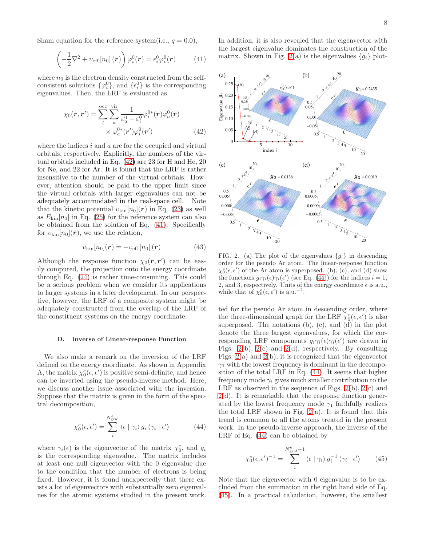Sham equation for the reference system(i.e.,  $q = 0.0$ ),

<span id="page-7-1"></span>
$$
\left(-\frac{1}{2}\nabla^2 + v_{\text{eff}}\left[n_0\right](\boldsymbol{r})\right)\varphi_i^0(\boldsymbol{r}) = \epsilon_i^0 \varphi_i^0(\boldsymbol{r}) \tag{41}
$$

where  $n_0$  is the electron density constructed from the selfconsistent solutions  $\{\varphi_i^0\}$ , and  $\{\epsilon_i^0\}$  is the corresponding eigenvalues. Then, the LRF is evaluated as

$$
\chi_0(\mathbf{r}, \mathbf{r}') = \sum_{i}^{\text{occ}} \sum_{a}^{\text{vir}} \frac{1}{\varepsilon_a^0 - \varepsilon_i^0} \varphi_i^{0*}(\mathbf{r}) \varphi_a^0(\mathbf{r})
$$

$$
\times \varphi_a^{0*}(\mathbf{r}') \varphi_i^0(\mathbf{r}')
$$
(42)

where the indices  $i$  and  $a$  are for the occupied and virtual orbitals, respectively. Explicitly, the numbers of the virtual orbitals included in Eq. [\(42\)](#page-7-0) are 23 for H and He, 20 for Ne, and 22 for Ar. It is found that the LRF is rather insensitive to the number of the virtual orbitals. However, attention should be paid to the upper limit since the virtual orbitals with larger eigenvalues can not be adequately accommodated in the real-space cell. Note that the kinetic potential  $v_{\text{kin}}[n_0](r)$  in Eq. [\(23\)](#page-4-2) as well as  $E_{\text{kin}}[n_0]$  in Eq. [\(25\)](#page-4-4) for the reference system can also be obtained from the solution of Eq. [\(41\)](#page-7-1). Specifically for  $v_{\text{kin}}[n_0](r)$ , we use the relation,

$$
v_{\rm kin}[n_0](\boldsymbol{r}) = -v_{\rm eff}[n_0](\boldsymbol{r}) \tag{43}
$$

Although the response function  $\chi_0(r,r')$  can be easily computed, the projection onto the energy coordinate through Eq. [\(24\)](#page-4-5) is rather time-consuming. This could be a serious problem when we consider its applications to larger systems in a later development. In our perspective, however, the LRF of a composite system might be adequately constructed from the overlap of the LRF of the constituent systems on the energy coordinate.

#### D. Inverse of Linear-response Function

We also make a remark on the inversion of the LRF defined on the energy coordinate. As shown in Appendix A, the matrix  $\chi_0^e(\epsilon, \epsilon')$  is positive semi-definite, and hence can be inverted using the pseudo-inverse method. Here, we discuss another issue associated with the inversion. Suppose that the matrix is given in the form of the spectral decomposition,

<span id="page-7-3"></span>
$$
\chi_0^e(\epsilon, \epsilon') = \sum_i^{N_{\text{grid}}^e} \langle \epsilon | \gamma_i \rangle g_i \langle \gamma_i | \epsilon' \rangle \tag{44}
$$

where  $\gamma_i(\epsilon)$  is the eigenvector of the matrix  $\chi_0^e$ , and  $g_i$ is the corresponding eigenvalue. The matrix includes at least one null eigenvector with the 0 eigenvalue due to the condition that the number of electrons is being fixed. However, it is found unexpectedly that there exists a lot of eigenvectors with substantially zero eigenvalues for the atomic systems studied in the present work.

In addition, it is also revealed that the eigenvector with the largest eigenvalue dominates the construction of the matrix. Shown in Fig. [2\(](#page-7-2)a) is the eigenvalues  ${g_i}$  plot-

<span id="page-7-0"></span>

<span id="page-7-2"></span>FIG. 2. (a) The plot of the eigenvalues  ${g_i}$  in descending order for the pseudo Ar atom. The linear-response function  $\chi_0^e(\epsilon, \epsilon')$  of the Ar atom is superposed. (b), (c), and (d) show the functions  $g_i \gamma_i(\epsilon) \gamma_i(\epsilon')$  (see Eq. [\(44\)](#page-7-3)) for the indices  $i = 1$ , 2, and 3, respectively. Units of the energy coordinate  $\epsilon$  is a.u., while that of  $\chi_0^e(\epsilon, \epsilon')$  is a.u.<sup>-2</sup>.

ted for the pseudo Ar atom in descending order, where the three-dimensional graph for the LRF  $\chi_0^e(\epsilon, \epsilon')$  is also superposed. The notations (b), (c), and (d) in the plot denote the three largest eigenvalues, for which the corresponding LRF components  $g_i \gamma_i(\epsilon) \gamma_i(\epsilon')$  are drawn in Figs. [2\(](#page-7-2)b), 2(c) and 2(d), respectively. By consulting Figs. [2\(](#page-7-2)a) and [2\(](#page-7-2)b), it is recognized that the eigenvector  $\gamma_1$  with the lowest frequency is dominant in the decomposition of the total LRF in Eq. [\(44\)](#page-7-3). It seems that higher frequency mode  $\gamma_i$  gives much smaller contribution to the LRF as observed in the sequence of Figs.  $2(b)$ ,  $2(c)$  and [2\(](#page-7-2)d). It is remarkable that the response function generated by the lowest frequency mode  $\gamma_1$  faithfully realizes the total LRF shown in Fig.  $2(a)$ . It is found that this trend is common to all the atoms treated in the present work. In the pseudo-inverse approach, the inverse of the LRF of Eq. [\(44\)](#page-7-3) can be obtained by

<span id="page-7-4"></span>
$$
\chi_0^e(\epsilon, \epsilon')^{-1} = \sum_i^{N_{\text{grid}}^{e}-1} \langle \epsilon | \gamma_i \rangle g_i^{-1} \langle \gamma_i | \epsilon' \rangle \qquad (45)
$$

Note that the eigenvector with 0 eigenvalue is to be excluded from the summation in the right hand side of Eq. [\(45\)](#page-7-4). In a practical calculation, however, the smallest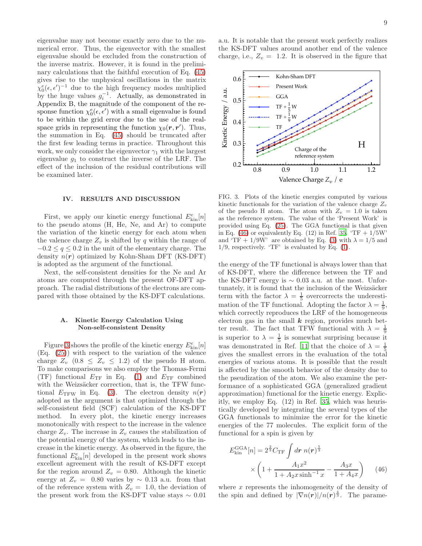eigenvalue may not become exactly zero due to the numerical error. Thus, the eigenvector with the smallest eigenvalue should be excluded from the construction of the inverse matrix. However, it is found in the preliminary calculations that the faithful execution of Eq. [\(45\)](#page-7-4) gives rise to the unphysical oscillations in the matrix  $\chi_0^e(\epsilon, \epsilon')^{-1}$  due to the high frequency modes multiplied by the huge values  $g_i^{-1}$ . Actually, as demonstrated in Appendix B, the magnitude of the component of the response function  $\chi_0^e(\epsilon, \epsilon')$  with a small eigenvalue is found to be within the grid error due to the use of the realspace grids in representing the function  $\chi_0(\mathbf{r}, \mathbf{r}')$ . Thus, the summation in Eq. [\(45\)](#page-7-4) should be truncated after the first few leading terms in practice. Throughout this work, we only consider the eigenvector  $\gamma_1$  with the largest eigenvalue  $g_1$  to construct the inverse of the LRF. The effect of the inclusion of the residual contributions will be examined later.

#### IV. RESULTS AND DISCUSSION

First, we apply our kinetic energy functional  $E_{\text{kin}}^{e}[n]$ to the pseudo atoms (H, He, Ne, and Ar) to compute the variation of the kinetic energy for each atom when the valence charge  $Z_v$  is shifted by q within the range of  $-0.2 \le q \le 0.2$  in the unit of the elementary charge. The density  $n(r)$  optimized by Kohn-Sham DFT (KS-DFT) is adopted as the argument of the functional.

Next, the self-consistent densities for the Ne and Ar atoms are computed through the present OF-DFT approach. The radial distributions of the electrons are compared with those obtained by the KS-DFT calculations.

### A. Kinetic Energy Calculation Using Non-self-consistent Density

Figure [3](#page-8-0) shows the profile of the kinetic energy  $E^e_{\rm kin}[n]$ (Eq. [\(25\)](#page-4-4)) with respect to the variation of the valence charge  $Z_v$  (0.8  $\leq Z_v \leq 1.2$ ) of the pseudo H atom. To make comparisons we also employ the Thomas-Fermi (TF) functional  $E_{\text{TF}}$  in Eq. [\(1\)](#page-0-3) and  $E_{\text{TF}}$  combined with the Weizsäcker correction, that is, the TFW functional  $E_{\text{TFW}}$  in Eq. [\(3\)](#page-0-2). The electron density  $n(r)$ adopted as the argument is that optimized through the self-consistent field (SCF) calculation of the KS-DFT method. In every plot, the kinetic energy increases monotonically with respect to the increase in the valence charge  $Z_v$ . The increase in  $Z_v$  causes the stabilization of the potential energy of the system, which leads to the increase in the kinetic energy. As observed in the figure, the functional  $E_{\text{kin}}^{e}[n]$  developed in the present work shows excellent agreement with the result of KS-DFT except for the region around  $Z_v = 0.80$ . Although the kinetic energy at  $Z_v = 0.80$  varies by  $\sim 0.13$  a.u. from that of the reference system with  $Z_v = 1.0$ , the deviation of the present work from the KS-DFT value stays  $\sim 0.01$ 

a.u. It is notable that the present work perfectly realizes the KS-DFT values around another end of the valence charge, i.e.,  $Z_v = 1.2$ . It is observed in the figure that



<span id="page-8-0"></span>FIG. 3. Plots of the kinetic energies computed by various kinetic functionals for the variation of the valence charge  $Z_v$ of the pseudo H atom. The atom with  $Z_v = 1.0$  is taken as the reference system. The value of the 'Present Work' is provided using Eq. [\(25\)](#page-4-4). The GGA functional is that given in Eq. [\(46\)](#page-8-1) or equivalently Eq. (12) in Ref. [35](#page-14-30).  $T_F + 1/5W$ and 'TF + 1/9W' are obtained by Eq. [\(3\)](#page-0-2) with  $\lambda = 1/5$  and  $1/9$ , respectively. 'TF' is evaluated by Eq.  $(1)$ .

the energy of the TF functional is always lower than that of KS-DFT, where the difference between the TF and the KS-DFT energy is  $\sim 0.03$  a.u. at the most. Unfortunately, it is found that the inclusion of the Weizsäcker term with the factor  $\lambda = \frac{1}{5}$  overcorrects the underestimation of the TF functional. Adopting the factor  $\lambda = \frac{1}{9}$ , which correctly reproduces the LRF of the homogeneous electron gas in the small  $k$  region, provides much better result. The fact that TFW functional with  $\lambda = \frac{1}{9}$ is superior to  $\lambda = \frac{1}{5}$  is somewhat surprising because it was demonstrated in Ref. [11](#page-14-10) that the choice of  $\lambda = \frac{1}{5}$ gives the smallest errors in the evaluation of the total energies of various atoms. It is possible that the result is affected by the smooth behavior of the density due to the pseudization of the atom. We also examine the performance of a sophisticated GGA (generalized gradient approximation) functional for the kinetic energy. Explicitly, we employ Eq. (12) in Ref. [35,](#page-14-30) which was heuristically developed by integrating the several types of the GGA functionals to minimize the error for the kinetic energies of the 77 molecules. The explicit form of the functional for a spin is given by

<span id="page-8-1"></span>
$$
E_{\rm kin}^{\rm GGA}[n] = 2^{\frac{2}{3}} C_{\rm TF} \int dr \; n(r)^{\frac{5}{3}} \times \left(1 + \frac{A_1 x^2}{1 + A_2 x \sinh^{-1} x} - \frac{A_3 x}{1 + A_4 x}\right) \tag{46}
$$

where  $x$  represents the inhomogeneity of the density of the spin and defined by  $|\nabla n(\mathbf{r})|/n(\mathbf{r})^{\frac{4}{3}}$ . The parame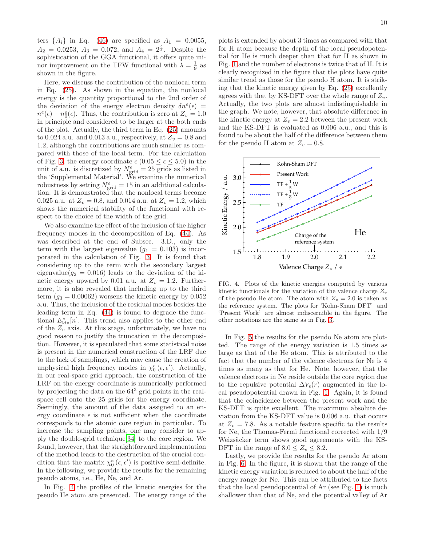ters  $\{A_i\}$  in Eq. [\(46\)](#page-8-1) are specified as  $A_1 = 0.0055$ ,  $A_2 = 0.0253, A_3 = 0.072, \text{ and } A_4 = 2^{\frac{5}{3}}.$  Despite the sophistication of the GGA functional, it offers quite minor improvement on the TFW functional with  $\lambda = \frac{1}{9}$  as shown in the figure.

Here, we discuss the contribution of the nonlocal term in Eq. [\(25\)](#page-4-4). As shown in the equation, the nonlocal energy is the quantity proportional to the 2nd order of the deviation of the energy electron density  $\delta n^e(\epsilon)$  =  $n^e(\epsilon) - n_0^e(\epsilon)$ . Thus, the contribution is zero at  $Z_v = 1.0$ in principle and considered to be larger at the both ends of the plot. Actually, the third term in Eq. [\(25\)](#page-4-4) amounts to 0.024 a.u. and 0.013 a.u., respectively, at  $Z_v = 0.8$  and 1.2, although the contributions are much smaller as compared with those of the local term. For the calculation of Fig. [3,](#page-8-0) the energy coordinate  $\epsilon$  (0.05  $\leq \epsilon \leq$  5.0) in the unit of a.u. is discretized by  $N_{\text{grid}}^e = 25$  grids as listed in the 'Supplemental Material'. We examine the numerical robustness by setting  $N_{\text{grid}}^e = 15$  in an additional calculation. It is demonstrated that the nonlocal terms become 0.025 a.u. at  $Z_v = 0.8$ , and 0.014 a.u. at  $Z_v = 1.2$ , which shows the numerical stability of the functional with respect to the choice of the width of the grid.

We also examine the effect of the inclusion of the higher frequency modes in the decomposition of Eq. [\(44\)](#page-7-3). As was described at the end of Subsec. 3.D., only the term with the largest eigenvalue  $(g_1 = 0.103)$  is incorporated in the calculation of Fig. [3.](#page-8-0) It is found that considering up to the term with the secondary largest eigenvalue( $g_2 = 0.016$ ) leads to the deviation of the kinetic energy upward by 0.01 a.u. at  $Z_v = 1.2$ . Furthermore, it is also revealed that including up to the third term  $(q_3 = 0.00062)$  worsens the kinetic energy by  $0.052$ a.u. Thus, the inclusion of the residual modes besides the leading term in Eq. [\(44\)](#page-7-3) is found to degrade the functional  $E_{\text{kin}}^{e}[n]$ . This trend also applies to the other end of the  $Z_v$  axis. At this stage, unfortunately, we have no good reason to justify the truncation in the decomposition. However, it is speculated that some statistical noise is present in the numerical construction of the LRF due to the lack of samplings, which may cause the creation of unphysical high frequency modes in  $\chi_0^e(\epsilon, \epsilon')$ . Actually, in our real-space grid approach, the construction of the LRF on the energy coordinate is numerically performed by projecting the data on the  $64<sup>3</sup>$  grid points in the realspace cell onto the 25 grids for the energy coordinate. Seemingly, the amount of the data assigned to an energy coordinate  $\epsilon$  is not sufficient when the coordinate corresponds to the atomic core region in particular. To increase the sampling points, one may consider to apply the double-grid technique[\[34\]](#page-14-29) to the core region. We found, however, that the straightforward implementation of the method leads to the destruction of the crucial condition that the matrix  $\chi_0^e(\epsilon, \epsilon')$  is positive semi-definite. In the following, we provide the results for the remaining pseudo atoms, i.e., He, Ne, and Ar.

In Fig. [4](#page-9-0) the profiles of the kinetic energies for the pseudo He atom are presented. The energy range of the

plots is extended by about 3 times as compared with that for H atom because the depth of the local pseudopotential for He is much deeper than that for H as shown in Fig. [1](#page-6-2) and the number of electrons is twice that of H. It is clearly recognized in the figure that the plots have quite similar trend as those for the pseudo H atom. It is striking that the kinetic energy given by Eq. [\(25\)](#page-4-4) excellently agrees with that by KS-DFT over the whole range of  $Z_v$ . Actually, the two plots are almost indistinguishable in the graph. We note, however, that absolute difference in the kinetic energy at  $Z_v = 2.2$  between the present work and the KS-DFT is evaluated as 0.006 a.u., and this is found to be about the half of the difference between them for the pseudo H atom at  $Z_v = 0.8$ .



<span id="page-9-0"></span>FIG. 4. Plots of the kinetic energies computed by various kinetic functionals for the variation of the valence charge  $Z_v$ of the pseudo He atom. The atom with  $Z_v = 2.0$  is taken as the reference system. The plots for 'Kohn-Sham DFT' and 'Present Work' are almost indiscernible in the figure. The other notations are the same as in Fig. [3.](#page-8-0)

In Fig. [5](#page-10-0) the results for the pseudo Ne atom are plotted. The range of the energy variation is 1.5 times as large as that of the He atom. This is attributed to the fact that the number of the valence electrons for Ne is 4 times as many as that for He. Note, however, that the valence electrons in Ne reside outside the core region due to the repulsive potential  $\Delta V_{\rm s}(r)$  augmented in the local pseudopotential drawn in Fig. [1.](#page-6-2) Again, it is found that the coincidence between the present work and the KS-DFT is quite excellent. The maximum absolute deviation from the KS-DFT value is 0.006 a.u. that occurs at  $Z_v = 7.8$ . As a notable feature specific to the results for Ne, the Thomas-Fermi functional corrected with 1/9 Weizsäcker term shows good agreements with the KS-DFT in the range of  $8.0 \leq Z_v \leq 8.2$ .

Lastly, we provide the results for the pseudo Ar atom in Fig. [6.](#page-10-1) In the figure, it is shown that the range of the kinetic energy variation is reduced to about the half of the energy range for Ne. This can be attributed to the facts that the local pseudopotential of Ar (see Fig. [1\)](#page-6-2) is much shallower than that of Ne, and the potential valley of Ar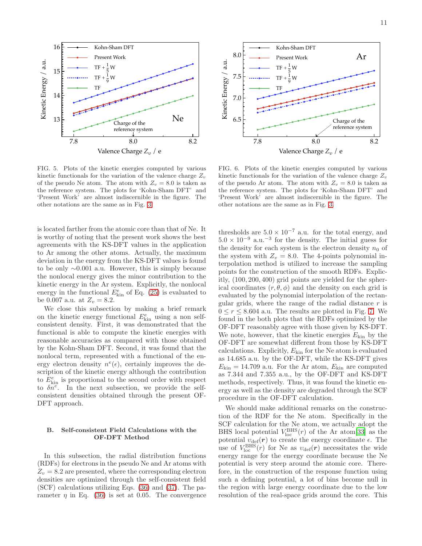

Kohn-Sham DFT

16

<span id="page-10-0"></span>kinetic functionals for the variation of the valence charge  $Z_v$ of the pseudo Ne atom. The atom with  $Z_v = 8.0$  is taken as the reference system. The plots for 'Kohn-Sham DFT' and 'Present Work' are almost indiscernible in the figure. The other notations are the same as in Fig. [3.](#page-8-0)

is located farther from the atomic core than that of Ne. It is worthy of noting that the present work shows the best agreements with the KS-DFT values in the application to Ar among the other atoms. Actually, the maximum deviation in the energy from the KS-DFT values is found to be only ∼0.001 a.u. However, this is simply because the nonlocal energy gives the minor contribution to the kinetic energy in the Ar system. Explicitly, the nonlocal energy in the functional  $E_{kin}^e$  of Eq. [\(25\)](#page-4-4) is evaluated to be 0.007 a.u. at  $Z_v = 8.2$ .

We close this subsection by making a brief remark on the kinetic energy functional  $E_{\text{kin}}^e$  using a non selfconsistent density. First, it was demonstrated that the functional is able to compute the kinetic energies with reasonable accuracies as compared with those obtained by the Kohn-Sham DFT. Second, it was found that the nonlocal term, represented with a functional of the energy electron density  $n^e(\epsilon)$ , certainly improves the description of the kinetic energy although the contribution to  $E_{\text{kin}}^{e}$  is proportional to the second order with respect to  $\delta n^e$ . In the next subsection, we provide the selfconsistent densities obtained through the present OF-DFT approach.

# B. Self-consistent Field Calculations with the OF-DFT Method

In this subsection, the radial distribution functions (RDFs) for electrons in the pseudo Ne and Ar atoms with  $Z_v = 8.2$  are presented, where the corresponding electron densities are optimized through the self-consistent field (SCF) calculations utilizing Eqs. [\(36\)](#page-5-3) and [\(37\)](#page-5-2). The parameter  $\eta$  in Eq. [\(36\)](#page-5-3) is set at 0.05. The convergence



<span id="page-10-1"></span>FIG. 6. Plots of the kinetic energies computed by various kinetic functionals for the variation of the valence charge  $Z_v$ of the pseudo Ar atom. The atom with  $Z_v = 8.0$  is taken as the reference system. The plots for 'Kohn-Sham DFT' and 'Present Work' are almost indiscernible in the figure. The other notations are the same as in Fig. [3.](#page-8-0)

thresholds are  $5.0 \times 10^{-7}$  a.u. for the total energy, and  $5.0 \times 10^{-9}$  a.u.<sup>-3</sup> for the density. The initial guess for the density for each system is the electron density  $n_0$  of the system with  $Z_v = 8.0$ . The 4-points polynomial interpolation method is utilized to increase the sampling points for the construction of the smooth RDFs. Explicitly, (100, 200, 400) grid points are yielded for the spherical coordinates  $(r, \theta, \phi)$  and the density on each grid is evaluated by the polynomial interpolation of the rectangular grids, where the range of the radial distance  $r$  is  $0 \le r \le 8.604$  a.u. The results are plotted in Fig. [7.](#page-11-0) We found in the both plots that the RDFs optimized by the OF-DFT reasonably agree with those given by KS-DFT. We note, however, that the kinetic energies  $E_{kin}$  by the OF-DFT are somewhat different from those by KS-DFT calculations. Explicitly,  $E_{kin}$  for the Ne atom is evaluated as 14.685 a.u. by the OF-DFT, while the KS-DFT gives  $E_{\text{kin}} = 14.709$  a.u. For the Ar atom,  $E_{\text{kin}}$  are computed as 7.344 and 7.355 a.u., by the OF-DFT and KS-DFT methods, respectively. Thus, it was found the kinetic energy as well as the density are degraded through the SCF procedure in the OF-DFT calculation.

We should make additional remarks on the construction of the RDF for the Ne atom. Specifically in the SCF calculation for the Ne atom, we actually adopt the BHS local potential  $V_{\text{loc}}^{\text{BHS}}(r)$  of the Ar atom<sup>[\[33\]](#page-14-28)</sup> as the potential  $v_{\text{def}}(r)$  to create the energy coordinate  $\epsilon$ . The use of  $V_{\text{loc}}^{\text{BHS}}(r)$  for Ne as  $v_{\text{def}}(r)$  necessitates the wide energy range for the energy coordinate because the Ne potential is very steep around the atomic core. Therefore, in the construction of the response function using such a defining potential, a lot of bins become null in the region with large energy coordinate due to the low resolution of the real-space grids around the core. This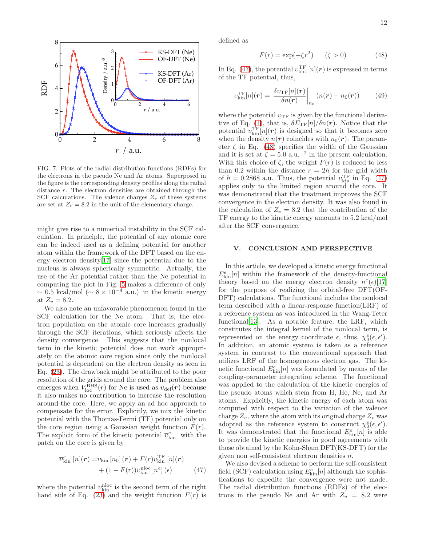



<span id="page-11-0"></span>FIG. 7. Plots of the radial distribution functions (RDFs) for the electrons in the pseudo Ne and Ar atoms. Superposed in the figure is the corresponding density profiles along the radial distance r. The electron densities are obtained through the SCF calculations. The valence charges  $Z_v$  of these systems are set at  $Z_v = 8.2$  in the unit of the elementary charge.

might give rise to a numerical instability in the SCF calculation. In principle, the potential of any atomic core can be indeed used as a defining potential for another atom within the framework of the DFT based on the energy electron density[\[17](#page-14-16)] since the potential due to the nucleus is always spherically symmetric. Actually, the use of the Ar potential rather than the Ne potential in computing the plot in Fig. [5](#page-10-0) makes a difference of only  $\sim 0.5$  kcal/mol ( $\sim 8 \times 10^{-4}$  a.u.) in the kinetic energy at  $Z_v = 8.2$ .

We also note an unfavorable phenomenon found in the SCF calculation for the Ne atom. That is, the electron population on the atomic core increases gradually through the SCF iterations, which seriously affects the density convergence. This suggests that the nonlocal term in the kinetic potential does not work appropriately on the atomic core region since only the nonlocal potential is dependent on the electron density as seen in Eq. [\(23\)](#page-4-2). The drawback might be attributed to the poor resolution of the grids around the core. The problem also emerges when  $V_{\text{loc}}^{\text{BHS}}(r)$  for Ne is used as  $v_{\text{def}}(r)$  because it also makes no contribution to increase the resolution around the core. Here, we apply an ad hoc approach to compensate for the error. Explicitly, we mix the kinetic potential with the Thomas-Fermi (TF) potential only on the core region using a Gaussian weight function  $F(r)$ . The explicit form of the kinetic potential  $\overline{v}_{\text{kin}}^e$  with the patch on the core is given by

$$
\overline{v}_{\text{kin}}^e [n](\boldsymbol{r}) = v_{\text{kin}} [n_0](\boldsymbol{r}) + F(r)v_{\text{kin}}^{\text{TF}} [n](\boldsymbol{r}) + (1 - F(r))v_{\text{kin}}^{\text{loc}} [n^e](\epsilon)
$$
(47)

where the potential  $v_{\text{kin}}^{\text{nloc}}$  is the second term of the right hand side of Eq.  $(23)$  and the weight function  $F(r)$  is defined as

<span id="page-11-2"></span>
$$
F(r) = \exp(-\zeta r^2) \qquad (\zeta > 0)
$$
 (48)

In Eq. [\(47\)](#page-11-1), the potential  $v_{\rm kin}^{\rm TF}\left[n\right]$  (*r*) is expressed in terms of the TF potential, thus,

$$
v_{\text{kin}}^{\text{TF}}[n](\boldsymbol{r}) = \left. \frac{\delta v_{\text{TF}}[n](\boldsymbol{r})}{\delta n(\boldsymbol{r})} \right|_{n_0} \left( n(\boldsymbol{r}) - n_0(\boldsymbol{r}) \right) \tag{49}
$$

where the potential  $v_{\text{TF}}$  is given by the functional deriva-tive of Eq. [\(1\)](#page-0-3), that is,  $\delta E_{\rm TF}[n]/\delta n(r)$ . Notice that the potential  $v_{\text{kin}}^{\text{TF}}[n](r)$  is designed so that it becomes zero when the density  $n(r)$  coincides with  $n_0(r)$ . The parameter  $\zeta$  in Eq. [\(48\)](#page-11-2) specifies the width of the Gaussian and it is set at  $\zeta = 5.0$  a.u.<sup>-2</sup> in the present calculation. With this choice of  $\zeta$ , the weight  $F(r)$  is reduced to less than 0.2 within the distance  $r = 2h$  for the grid width of  $h = 0.2868$  a.u. Thus, the potential  $v_{\text{kin}}^{\text{TF}}$  in Eq. [\(47\)](#page-11-1) applies only to the limited region around the core. It was demonstrated that the treatment improves the SCF convergence in the electron density. It was also found in the calculation of  $Z_v = 8.2$  that the contribution of the TF energy to the kinetic energy amounts to 5.2 kcal/mol after the SCF convergence.

### V. CONCLUSION AND PERSPECTIVE

In this article, we developed a kinetic energy functional  $E_{\text{kin}}^{e}[n]$  within the framework of the density-functional theory based on the energy electron density  $n^e(\epsilon)[17]$  $n^e(\epsilon)[17]$  $n^e(\epsilon)[17]$ for the purpose of realizing the orbital-free DFT(OF-DFT) calculations. The functional includes the nonlocal term described with a linear-response function(LRF) of a reference system as was introduced in the Wang-Teter functional[\[13](#page-14-12)]. As a notable feature, the LRF, which constitutes the integral kernel of the nonlocal term, is represented on the energy coordinate  $\epsilon$ , thus,  $\chi_0^e(\epsilon, \epsilon')$ . In addition, an atomic system is taken as a reference system in contrast to the conventional approach that utilizes LRF of the homogeneous electron gas. The kinetic functional  $E_{\text{kin}}^e[n]$  was formulated by means of the coupling-parameter integration scheme. The functional was applied to the calculation of the kinetic energies of the pseudo atoms which stem from H, He, Ne, and Ar atoms. Explicitly, the kinetic energy of each atom was computed with respect to the variation of the valence charge  $Z_v$ , where the atom with its original charge  $Z_v$  was adopted as the reference system to construct  $\chi_0^e(\epsilon, \epsilon').$ It was demonstrated that the functional  $E_{\text{kin}}^{e}[n]$  is able to provide the kinetic energies in good agreements with those obtained by the Kohn-Sham DFT(KS-DFT) for the given non self-consistent electron densities n.

<span id="page-11-1"></span>We also devised a scheme to perform the self-consistent field (SCF) calculation using  $E_{\text{kin}}^{e}[n]$  although the sophistications to expedite the convergence were not made. The radial distribution functions (RDFs) of the electrons in the pseudo Ne and Ar with  $Z_v = 8.2$  were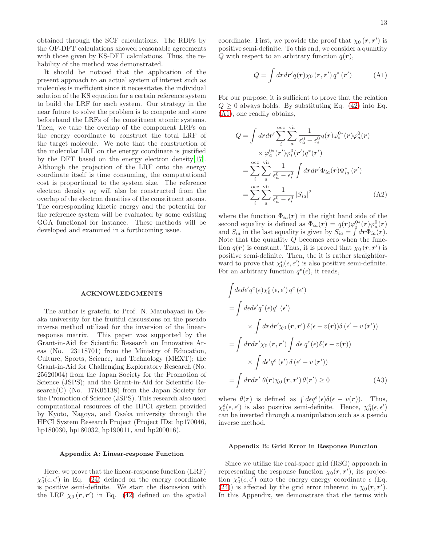obtained through the SCF calculations. The RDFs by the OF-DFT calculations showed reasonable agreements with those given by KS-DFT calculations. Thus, the reliability of the method was demonstrated.

It should be noticed that the application of the present approach to an actual system of interest such as molecules is inefficient since it necessitates the individual solution of the KS equation for a certain reference system to build the LRF for each system. Our strategy in the near future to solve the problem is to compute and store beforehand the LRFs of the constituent atomic systems. Then, we take the overlap of the component LRFs on the energy coordinate to construct the total LRF of the target molecule. We note that the construction of the molecular LRF on the energy coordinate is justified by the DFT based on the energy electron density[\[17\]](#page-14-16). Although the projection of the LRF onto the energy coordinate itself is time consuming, the computational cost is proportional to the system size. The reference electron density  $n_0$  will also be constructed from the overlap of the electron densities of the constituent atoms. The corresponding kinetic energy and the potential for the reference system will be evaluated by some existing GGA functional for instance. These methods will be developed and examined in a forthcoming issue.

#### ACKNOWLEDGMENTS

The author is grateful to Prof. N. Matubayasi in Osaka university for the fruitful discussions on the pseudo inverse method utilized for the inversion of the linearresponse matrix. This paper was supported by the Grant-in-Aid for Scientific Research on Innovative Areas (No. 23118701) from the Ministry of Education, Culture, Sports, Science, and Technology (MEXT); the Grant-in-Aid for Challenging Exploratory Research (No. 25620004) from the Japan Society for the Promotion of Science (JSPS); and the Grant-in-Aid for Scientific Re $search(C)$  (No. 17K05138) from the Japan Society for the Promotion of Science (JSPS). This research also used computational resources of the HPCI system provided by Kyoto, Nagoya, and Osaka university through the HPCI System Research Project (Project IDs: hp170046, hp180030, hp180032, hp190011, and hp200016).

#### Appendix A: Linear-response Function

Here, we prove that the linear-response function (LRF)  $\chi_0^e(\epsilon, \epsilon')$  in Eq. [\(24\)](#page-4-5) defined on the energy coordinate is positive semi-definite. We start the discussion with the LRF  $\chi_0(r,r')$  in Eq. [\(42\)](#page-7-0) defined on the spatial

coordinate. First, we provide the proof that  $\chi_0(r, r')$  is positive semi-definite. To this end, we consider a quantity Q with respect to an arbitrary function  $q(\mathbf{r})$ ,

<span id="page-12-0"></span>
$$
Q = \int dr dr' q(\mathbf{r}) \chi_0 (\mathbf{r}, \mathbf{r}') q^* (\mathbf{r}') \tag{A1}
$$

For our purpose, it is sufficient to prove that the relation  $Q \geq 0$  always holds. By substituting Eq. [\(42\)](#page-7-0) into Eq. [\(A1\)](#page-12-0), one readily obtains,

$$
Q = \int dr dr' \sum_{i}^{\text{occ}} \sum_{a}^{\text{vir}} \frac{1}{\varepsilon_a^0 - \varepsilon_i^0} q(r) \varphi_i^{0*}(r) \varphi_a^0(r)
$$
  
 
$$
\times \varphi_a^{0*}(r') \varphi_i^0(r') q^*(r')
$$
  

$$
= \sum_{i}^{\text{occ}} \sum_{a}^{\text{vir}} \frac{1}{\epsilon_a^0 - \epsilon_i^0} \int dr dr' \Phi_{ia}(r) \Phi_{ia}^*(r')
$$
  

$$
= \sum_{i}^{\text{occ}} \sum_{a}^{\text{vir}} \frac{1}{\epsilon_a^0 - \epsilon_i^0} |S_{ia}|^2
$$
(A2)

where the function  $\Phi_{ia}(r)$  in the right hand side of the second equality is defined as  $\Phi_{ia}(\mathbf{r}) = q(\mathbf{r})\varphi_i^{0*}(\mathbf{r})\varphi_a^{0}(\mathbf{r})$ and  $S_{ia}$  in the last equality is given by  $S_{ia} = \int d\mathbf{r} \Phi_{ia}(\mathbf{r}).$ Note that the quantity  $Q$  becomes zero when the function  $q(\mathbf{r})$  is constant. Thus, it is proved that  $\chi_0(\mathbf{r}, \mathbf{r}')$  is positive semi-definite. Then, the it is rather straightforward to prove that  $\chi_0^e(\epsilon, \epsilon')$  is also positive semi-definite. For an arbitrary function  $q^e(\epsilon)$ , it reads,

$$
\int d\epsilon d\epsilon' q^e(\epsilon) \chi_0^e(\epsilon, \epsilon') q^e(\epsilon')
$$
\n
$$
= \int d\epsilon d\epsilon' q^e(\epsilon) q^e(\epsilon') \times \int d\mathbf{r} d\mathbf{r'} \chi_0(\mathbf{r}, \mathbf{r'}) \delta(\epsilon - v(\mathbf{r})) \delta(\epsilon' - v(\mathbf{r'}))
$$
\n
$$
= \int d\mathbf{r} d\mathbf{r'} \chi_0(\mathbf{r}, \mathbf{r'}) \int d\epsilon q^e(\epsilon) \delta(\epsilon - v(\mathbf{r})) \times \int d\epsilon' q^e(\epsilon') \delta(\epsilon' - v(\mathbf{r'}))
$$
\n
$$
= \int d\mathbf{r} d\mathbf{r'} \theta(\mathbf{r}) \chi_0(\mathbf{r}, \mathbf{r'}) \theta(\mathbf{r'}) \ge 0 \tag{A3}
$$

where  $\theta(\mathbf{r})$  is defined as  $\int d\epsilon q^e(\epsilon)\delta(\epsilon - v(\mathbf{r}))$ . Thus,  $\chi_0^e(\epsilon, \epsilon')$  is also positive semi-definite. Hence,  $\chi_0^e(\epsilon, \epsilon')$ can be inverted through a manipulation such as a pseudo inverse method.

#### Appendix B: Grid Error in Response Function

Since we utilize the real-space grid (RSG) approach in representing the response function  $\chi_0(r,r')$ , its projection  $\chi_0^e(\epsilon, \epsilon')$  onto the energy energy coordinate  $\epsilon$  (Eq. [\(24\)](#page-4-5)) is affected by the grid error inherent in  $\chi_0(\mathbf{r}, \mathbf{r}')$ . In this Appendix, we demonstrate that the terms with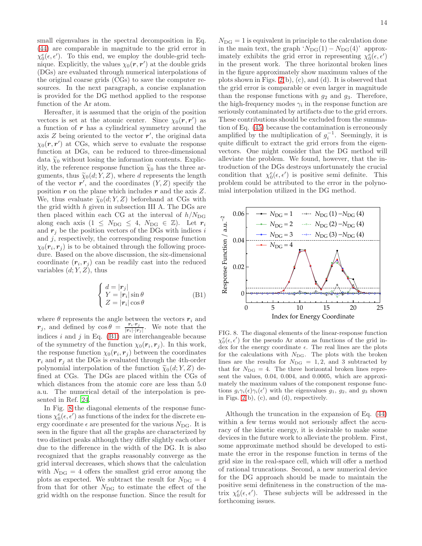small eigenvalues in the spectral decomposition in Eq. [\(44\)](#page-7-3) are comparable in magnitude to the grid error in  $\chi_0^e(\epsilon, \epsilon')$ . To this end, we employ the double-grid technique. Explicitly, the values  $\chi_0(r, r')$  at the double grids (DGs) are evaluated through numerical interpolations of the original coarse grids (CGs) to save the computer resources. In the next paragraph, a concise explanation is provided for the DG method applied to the response function of the Ar atom.

Hereafter, it is assumed that the origin of the position vectors is set at the atomic center. Since  $\chi_0(\mathbf{r}, \mathbf{r}')$  as a function of  $r$  has a cylindrical symmetry around the axis  $Z$  being oriented to the vector  $r'$ , the original data  $\chi_0(r,r')$  at CGs, which serve to evaluate the response function at DGs, can be reduced to three-dimensional data  $\tilde{\chi}_0$  without losing the information contents. Explicitly, the reference response function  $\tilde{\chi}_0$  has the three arguments, thus  $\widetilde{\chi}_0(d; Y, Z)$ , where d represents the length of the vector  $r'$ , and the coordinates  $(Y, Z)$  specify the position  $r$  on the plane which includes  $r$  and the axis  $Z$ . We, thus evaluate  $\tilde{\chi}_0(d; Y, Z)$  beforehand at CGs with the grid width  $h$  given in subsection III A. The DGs are then placed within each CG at the interval of  $h/N_{\text{DG}}$ along each axis  $(1 \leq N_{\text{DG}} \leq 4, N_{\text{DG}} \in \mathbb{Z})$ . Let  $r_i$ and  $r_i$  be the position vectors of the DGs with indices i and  $j$ , respectively, the corresponding response function  $\chi_0(\mathbf{r}_i, \mathbf{r}_j)$  is to be obtained through the following procedure. Based on the above discussion, the six-dimensional coordinate  $(r_i, r_j)$  can be readily cast into the reduced variables  $(d; Y, Z)$ , thus

<span id="page-13-0"></span>
$$
\begin{cases}\nd = |r_j| \\
Y = |r_i| \sin \theta \\
Z = |r_i| \cos \theta\n\end{cases}
$$
\n(B1)

where  $\theta$  represents the angle between the vectors  $r_i$  and r<sub>j</sub>, and defined by  $\cos \theta = \frac{r_i \cdot r_j}{|r_i| \cdot |r_i|}$  $\frac{r_i \cdot r_j}{|r_i| \cdot |r_j|}$ . We note that the indices i and j in Eq.  $(B1)$  are interchangeable because of the symmetry of the function  $\chi_0(\mathbf{r}_i, \mathbf{r}_j)$ . In this work, the response function  $\chi_0(\mathbf{r}_i, \mathbf{r}_j)$  between the coordinates  $r_i$  and  $r_j$  at the DGs is evaluated through the 4th-order polynomial interpolation of the function  $\widetilde{\chi}_0(d; Y, Z)$  defined at CGs. The DGs are placed within the CGs of which distances from the atomic core are less than 5.0 a.u. The numerical detail of the interpolation is presented in Ref. [24.](#page-14-31)

In Fig. [8](#page-13-1) the diagonal elements of the response functions  $\chi_0^e(\epsilon, \epsilon')$  as functions of the index for the discrete energy coordinate  $\epsilon$  are presented for the various  $N_{\text{DG}}$ . It is seen in the figure that all the graphs are characterized by two distinct peaks although they differ slightly each other due to the difference in the width of the DG. It is also recognized that the graphs reasonably converge as the grid interval decreases, which shows that the calculation with  $N_{\text{DG}} = 4$  offers the smallest grid error among the plots as expected. We subtract the result for  $N_{\text{DG}} = 4$ from that for other  $N_{\text{DG}}$  to estimate the effect of the grid width on the response function. Since the result for

 $N_{\text{DG}} = 1$  is equivalent in principle to the calculation done in the main text, the graph ' $N_{\text{DG}}(1) - N_{\text{DG}}(4)$ ' approximately exhibits the grid error in representing  $\chi_0^e(\epsilon, \epsilon')$ in the present work. The three horizontal broken lines in the figure approximately show maximum values of the plots shown in Figs. [2\(](#page-7-2)b), (c), and (d). It is observed that the grid error is comparable or even larger in magnitude than the response functions with  $g_2$  and  $g_3$ . Therefore, the high-frequency modes  $\gamma_i$  in the response function are seriously contaminated by artifacts due to the grid errors. These contributions should be excluded from the summation of Eq. [\(45\)](#page-7-4) because the contamination is erroneously amplified by the multiplication of  $g_i^{-1}$ . Seemingly, it is quite difficult to extract the grid errors from the eigenvectors. One might consider that the DG method will alleviate the problem. We found, however, that the introduction of the DGs destroys unfortunately the crucial condition that  $\chi_0^e(\epsilon, \epsilon')$  is positive semi definite. This problem could be attributed to the error in the polynomial interpolation utilized in the DG method.



<span id="page-13-1"></span>FIG. 8. The diagonal elements of the linear-response function  $\chi_0^e(\epsilon, \epsilon')$  for the pseudo Ar atom as functions of the grid index for the energy coordinate  $\epsilon$ . The real lines are the plots for the calculations with  $N_{\text{DG}}$ . The plots with the broken lines are the results for  $N_{\text{DG}} = 1, 2$ , and 3 subtracted by that for  $N_{\text{DG}} = 4$ . The three horizontal broken lines represent the values, 0.04, 0.004, and 0.0005, which are approximately the maximum values of the component response functions  $g_i \gamma_i(\epsilon) \gamma_i(\epsilon')$  with the eigenvalues  $g_1, g_2$ , and  $g_3$  shown in Figs. [2\(](#page-7-2)b), (c), and (d), respectively.

Although the truncation in the expansion of Eq. [\(44\)](#page-7-3) within a few terms would not seriously affect the accuracy of the kinetic energy, it is desirable to make some devices in the future work to alleviate the problem. First, some approximate method should be developed to estimate the error in the response function in terms of the grid size in the real-space cell, which will offer a method of rational truncations. Second, a new numerical device for the DG approach should be made to maintain the positive semi definiteness in the construction of the matrix  $\chi_0^e(\epsilon, \epsilon')$ . These subjects will be addressed in the forthcoming issues.